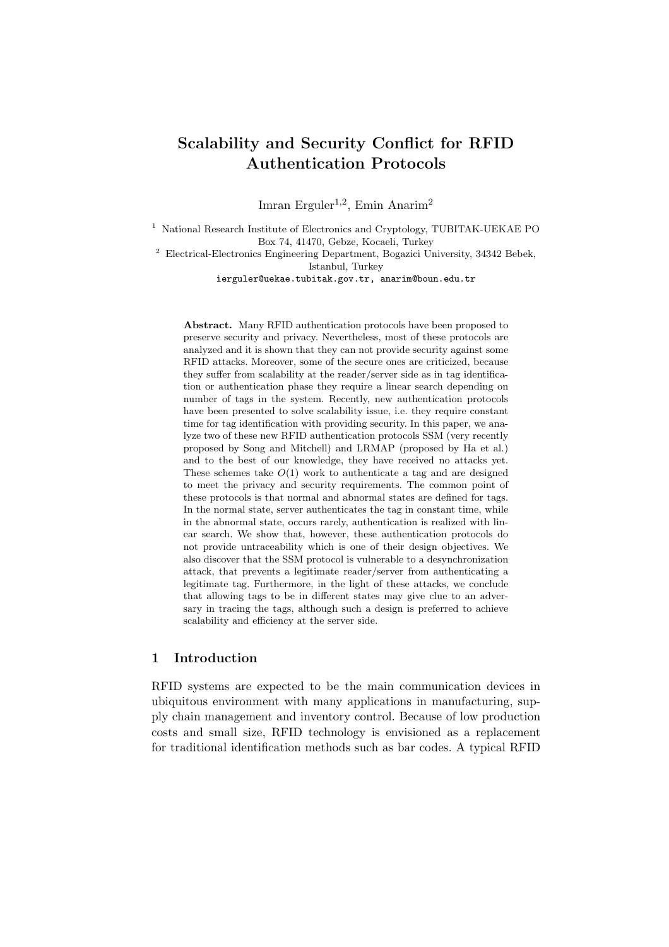# Scalability and Security Conflict for RFID Authentication Protocols

Imran Erguler<sup>1,2</sup>, Emin Anarim<sup>2</sup>

<sup>1</sup> National Research Institute of Electronics and Cryptology, TUBITAK-UEKAE PO Box 74, 41470, Gebze, Kocaeli, Turkey

<sup>2</sup> Electrical-Electronics Engineering Department, Bogazici University, 34342 Bebek, Istanbul, Turkey

ierguler@uekae.tubitak.gov.tr, anarim@boun.edu.tr

Abstract. Many RFID authentication protocols have been proposed to preserve security and privacy. Nevertheless, most of these protocols are analyzed and it is shown that they can not provide security against some RFID attacks. Moreover, some of the secure ones are criticized, because they suffer from scalability at the reader/server side as in tag identification or authentication phase they require a linear search depending on number of tags in the system. Recently, new authentication protocols have been presented to solve scalability issue, i.e. they require constant time for tag identification with providing security. In this paper, we analyze two of these new RFID authentication protocols SSM (very recently proposed by Song and Mitchell) and LRMAP (proposed by Ha et al.) and to the best of our knowledge, they have received no attacks yet. These schemes take  $O(1)$  work to authenticate a tag and are designed to meet the privacy and security requirements. The common point of these protocols is that normal and abnormal states are defined for tags. In the normal state, server authenticates the tag in constant time, while in the abnormal state, occurs rarely, authentication is realized with linear search. We show that, however, these authentication protocols do not provide untraceability which is one of their design objectives. We also discover that the SSM protocol is vulnerable to a desynchronization attack, that prevents a legitimate reader/server from authenticating a legitimate tag. Furthermore, in the light of these attacks, we conclude that allowing tags to be in different states may give clue to an adversary in tracing the tags, although such a design is preferred to achieve scalability and efficiency at the server side.

# 1 Introduction

RFID systems are expected to be the main communication devices in ubiquitous environment with many applications in manufacturing, supply chain management and inventory control. Because of low production costs and small size, RFID technology is envisioned as a replacement for traditional identification methods such as bar codes. A typical RFID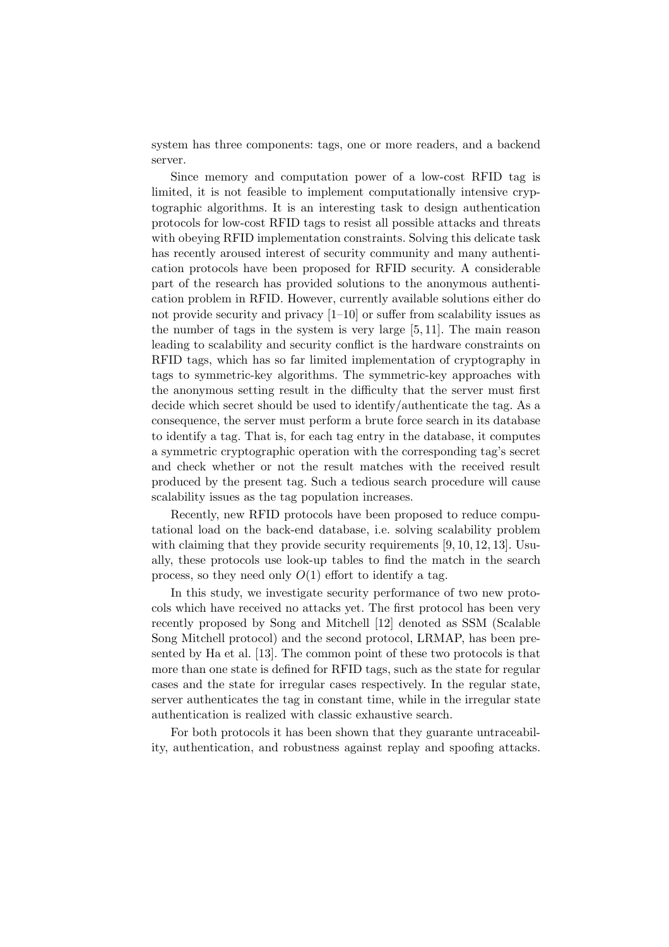system has three components: tags, one or more readers, and a backend server.

Since memory and computation power of a low-cost RFID tag is limited, it is not feasible to implement computationally intensive cryptographic algorithms. It is an interesting task to design authentication protocols for low-cost RFID tags to resist all possible attacks and threats with obeying RFID implementation constraints. Solving this delicate task has recently aroused interest of security community and many authentication protocols have been proposed for RFID security. A considerable part of the research has provided solutions to the anonymous authentication problem in RFID. However, currently available solutions either do not provide security and privacy [1–10] or suffer from scalability issues as the number of tags in the system is very large [5, 11]. The main reason leading to scalability and security conflict is the hardware constraints on RFID tags, which has so far limited implementation of cryptography in tags to symmetric-key algorithms. The symmetric-key approaches with the anonymous setting result in the difficulty that the server must first decide which secret should be used to identify/authenticate the tag. As a consequence, the server must perform a brute force search in its database to identify a tag. That is, for each tag entry in the database, it computes a symmetric cryptographic operation with the corresponding tag's secret and check whether or not the result matches with the received result produced by the present tag. Such a tedious search procedure will cause scalability issues as the tag population increases.

Recently, new RFID protocols have been proposed to reduce computational load on the back-end database, i.e. solving scalability problem with claiming that they provide security requirements [9, 10, 12, 13]. Usually, these protocols use look-up tables to find the match in the search process, so they need only  $O(1)$  effort to identify a tag.

In this study, we investigate security performance of two new protocols which have received no attacks yet. The first protocol has been very recently proposed by Song and Mitchell [12] denoted as SSM (Scalable Song Mitchell protocol) and the second protocol, LRMAP, has been presented by Ha et al. [13]. The common point of these two protocols is that more than one state is defined for RFID tags, such as the state for regular cases and the state for irregular cases respectively. In the regular state, server authenticates the tag in constant time, while in the irregular state authentication is realized with classic exhaustive search.

For both protocols it has been shown that they guarante untraceability, authentication, and robustness against replay and spoofing attacks.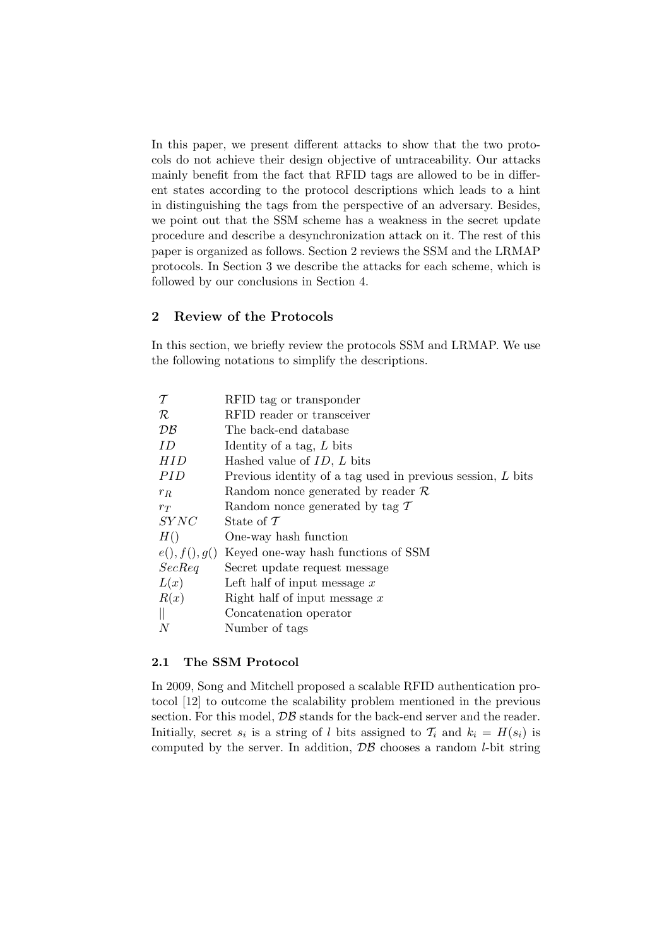In this paper, we present different attacks to show that the two protocols do not achieve their design objective of untraceability. Our attacks mainly benefit from the fact that RFID tags are allowed to be in different states according to the protocol descriptions which leads to a hint in distinguishing the tags from the perspective of an adversary. Besides, we point out that the SSM scheme has a weakness in the secret update procedure and describe a desynchronization attack on it. The rest of this paper is organized as follows. Section 2 reviews the SSM and the LRMAP protocols. In Section 3 we describe the attacks for each scheme, which is followed by our conclusions in Section 4.

# 2 Review of the Protocols

In this section, we briefly review the protocols SSM and LRMAP. We use the following notations to simplify the descriptions.

| $\tau$        | RFID tag or transponder                                     |
|---------------|-------------------------------------------------------------|
| $\cal R$      | RFID reader or transceiver                                  |
| DB            | The back-end database                                       |
| ID            | Identity of a tag, $L$ bits                                 |
| HID           | Hashed value of $ID, L$ bits                                |
| PID           | Previous identity of a tag used in previous session, L bits |
| $r_R$         | Random nonce generated by reader $\mathcal R$               |
| $r_T$         | Random nonce generated by tag $\mathcal T$                  |
| <i>SYNC</i>   | State of $\mathcal T$                                       |
| H()           | One-way hash function                                       |
| e(), f(), g() | Keyed one-way hash functions of SSM                         |
| SecReq        | Secret update request message                               |
| L(x)          | Left half of input message $x$                              |
| R(x)          | Right half of input message $x$                             |
| $\mathbb{I}$  | Concatenation operator                                      |
| N             | Number of tags                                              |

#### 2.1 The SSM Protocol

In 2009, Song and Mitchell proposed a scalable RFID authentication protocol [12] to outcome the scalability problem mentioned in the previous section. For this model,  $\mathcal{DB}$  stands for the back-end server and the reader. Initially, secret  $s_i$  is a string of l bits assigned to  $\mathcal{T}_i$  and  $k_i = H(s_i)$  is computed by the server. In addition,  $\mathcal{DB}$  chooses a random *l*-bit string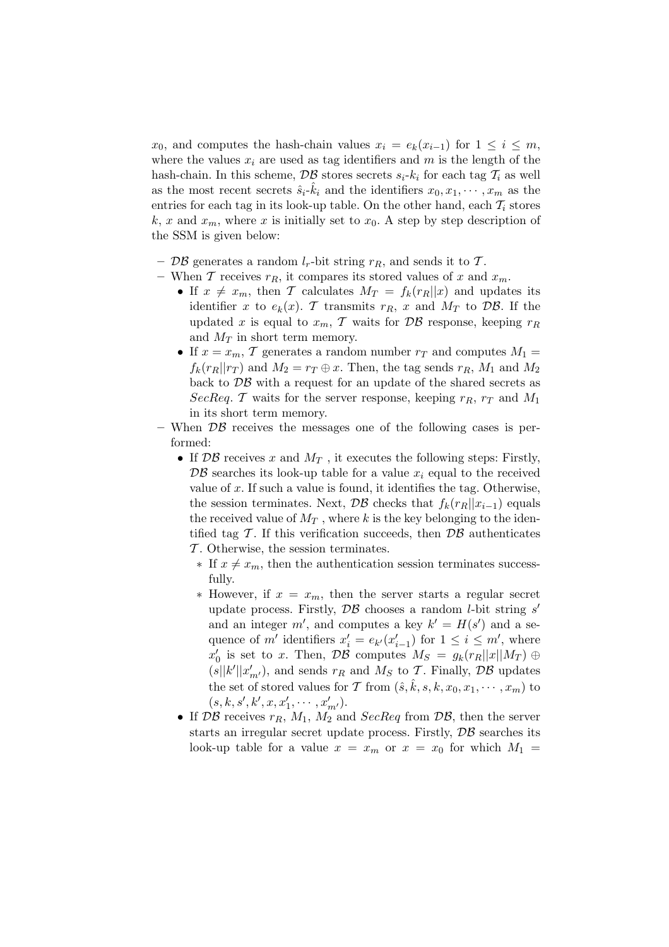$x_0$ , and computes the hash-chain values  $x_i = e_k(x_{i-1})$  for  $1 \leq i \leq m$ , where the values  $x_i$  are used as tag identifiers and m is the length of the hash-chain. In this scheme,  $\mathcal{DB}$  stores secrets  $s_i-k_i$  for each tag  $\mathcal{T}_i$  as well as the most recent secrets  $\hat{s}_i - \hat{k}_i$  and the identifiers  $x_0, x_1, \cdots, x_m$  as the entries for each tag in its look-up table. On the other hand, each  $T_i$  stores k, x and  $x_m$ , where x is initially set to  $x_0$ . A step by step description of the SSM is given below:

- DB generates a random  $l_r$ -bit string  $r_R$ , and sends it to T.
- When T receives  $r_R$ , it compares its stored values of x and  $x_m$ .
	- If  $x \neq x_m$ , then T calculates  $M_T = f_k(r_R||x)$  and updates its identifier x to  $e_k(x)$ . T transmits  $r_R$ , x and  $M_T$  to  $\mathcal{DB}$ . If the updated x is equal to  $x_m$ , T waits for  $\mathcal{DB}$  response, keeping  $r_R$ and  $M_T$  in short term memory.
	- If  $x = x_m$ , T generates a random number  $r_T$  and computes  $M_1 =$  $f_k(r_R||r_T)$  and  $M_2 = r_T \oplus x$ . Then, the tag sends  $r_R$ ,  $M_1$  and  $M_2$ back to  $\mathcal{DB}$  with a request for an update of the shared secrets as SecReq. T waits for the server response, keeping  $r_R$ ,  $r_T$  and  $M_1$ in its short term memory.
- When  $\mathcal{DB}$  receives the messages one of the following cases is performed:
	- If  $\mathcal{DB}$  receives x and  $M_T$ , it executes the following steps: Firstly,  $\mathcal{DB}$  searches its look-up table for a value  $x_i$  equal to the received value of  $x$ . If such a value is found, it identifies the tag. Otherwise, the session terminates. Next,  $\mathcal{DB}$  checks that  $f_k(r_R||x_{i-1})$  equals the received value of  $M_T$ , where k is the key belonging to the identified tag  $\mathcal T$ . If this verification succeeds, then  $\mathcal{DB}$  authenticates  $\mathcal T$ . Otherwise, the session terminates.
		- $∗$  If  $x ≠ x<sub>m</sub>$ , then the authentication session terminates successfully.
		- $*$  However, if  $x = x_m$ , then the server starts a regular secret update process. Firstly,  $\mathcal{DB}$  chooses a random *l*-bit string s' and an integer m', and computes a key  $k' = H(s')$  and a sequence of m' identifiers  $x'_i = e_{k'}(x'_{i-1})$  for  $1 \leq i \leq m'$ , where  $x'_0$  is set to x. Then,  $\mathcal{DB}$  computes  $M_S = g_k(r_R||x||M_T) \oplus$  $(s||k'||x'_{m'})$ , and sends  $r_R$  and  $M_S$  to  $\mathcal T$ . Finally,  $\mathcal{DB}$  updates the set of stored values for T from  $(\hat{s}, \hat{k}, s, k, x_0, x_1, \dots, x_m)$  to  $(s, k, s', k', x, x'_1, \cdots, x'_{m'})$ .
	- If  $\mathcal{DB}$  receives  $r_R$ ,  $M_1$ ,  $M_2$  and  $SecReg$  from  $\mathcal{DB}$ , then the server starts an irregular secret update process. Firstly,  $\mathcal{DB}$  searches its look-up table for a value  $x = x_m$  or  $x = x_0$  for which  $M_1 =$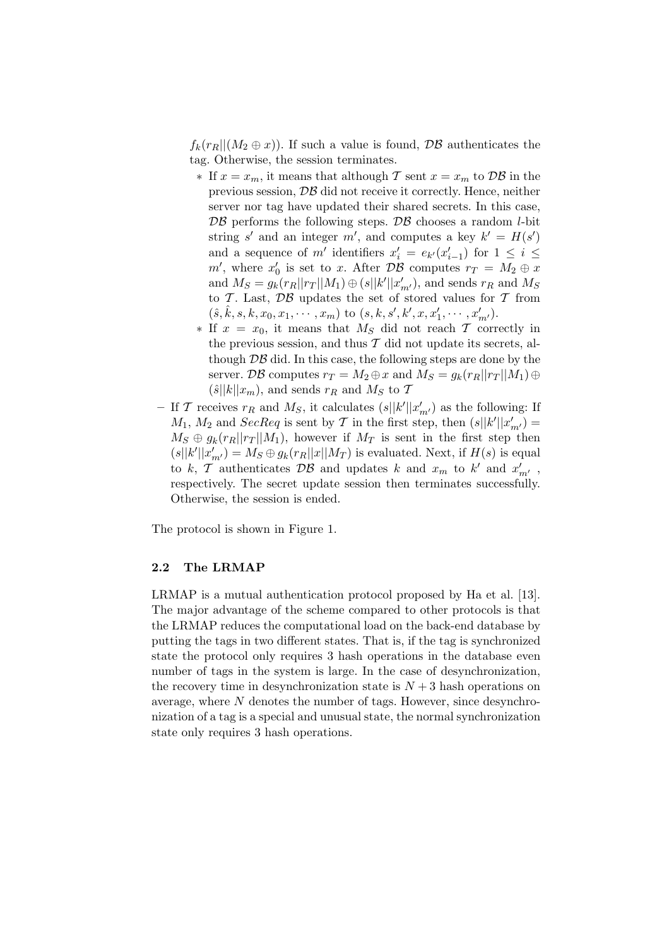$f_k(r_R||(M_2 \oplus x))$ . If such a value is found,  $\mathcal{DB}$  authenticates the tag. Otherwise, the session terminates.

- ∗ If  $x = x_m$ , it means that although T sent  $x = x_m$  to DB in the previous session, DB did not receive it correctly. Hence, neither server nor tag have updated their shared secrets. In this case,  $\mathcal{DB}$  performs the following steps.  $\mathcal{DB}$  chooses a random *l*-bit string s' and an integer m', and computes a key  $k' = H(s')$ and a sequence of m' identifiers  $x'_i = e_{k'}(x'_{i-1})$  for  $1 \leq i \leq$  $m'$ , where  $x'_0$  is set to x. After DB computes  $r_T = M_2 \oplus x$ and  $M_S = g_k(r_R||r_T||M_1) \oplus (s||k'||x'_{m'}),$  and sends  $r_R$  and  $M_S$ to T. Last,  $\mathcal{DB}$  updates the set of stored values for T from  $(\hat{s}, \hat{k}, s, k, x_0, x_1, \cdots, x_m)$  to  $(s, k, s', k', x, x'_1, \cdots, x'_{m'})$ .
- $∗$  If  $x = x_0$ , it means that  $M_S$  did not reach  $T$  correctly in the previous session, and thus  $T$  did not update its secrets, although DB did. In this case, the following steps are done by the server. DB computes  $r_T = M_2 \oplus x$  and  $M_S = g_k(r_R||r_T||M_1) \oplus$  $(\hat{s}||k||x_m)$ , and sends  $r_R$  and  $M_S$  to  $\mathcal T$
- If T receives  $r_R$  and  $M_S$ , it calculates  $(s||k'||x'_{m'})$  as the following: If  $M_1, M_2$  and  $SecReq$  is sent by  $\mathcal T$  in the first step, then  $(s||k'||x'_{m'}) =$  $M_S \oplus g_k(r_R||r_T||M_1)$ , however if  $M_T$  is sent in the first step then  $(s||k'||x'_{m'}) = M_S \oplus g_k(r_R||x||M_T)$  is evaluated. Next, if  $H(s)$  is equal to k, T authenticates  $\mathcal{DB}$  and updates k and  $x_m$  to k' and  $x'_{m'}$ , respectively. The secret update session then terminates successfully. Otherwise, the session is ended.

The protocol is shown in Figure 1.

## 2.2 The LRMAP

LRMAP is a mutual authentication protocol proposed by Ha et al. [13]. The major advantage of the scheme compared to other protocols is that the LRMAP reduces the computational load on the back-end database by putting the tags in two different states. That is, if the tag is synchronized state the protocol only requires 3 hash operations in the database even number of tags in the system is large. In the case of desynchronization, the recovery time in desynchronization state is  $N+3$  hash operations on average, where  $N$  denotes the number of tags. However, since desynchronization of a tag is a special and unusual state, the normal synchronization state only requires 3 hash operations.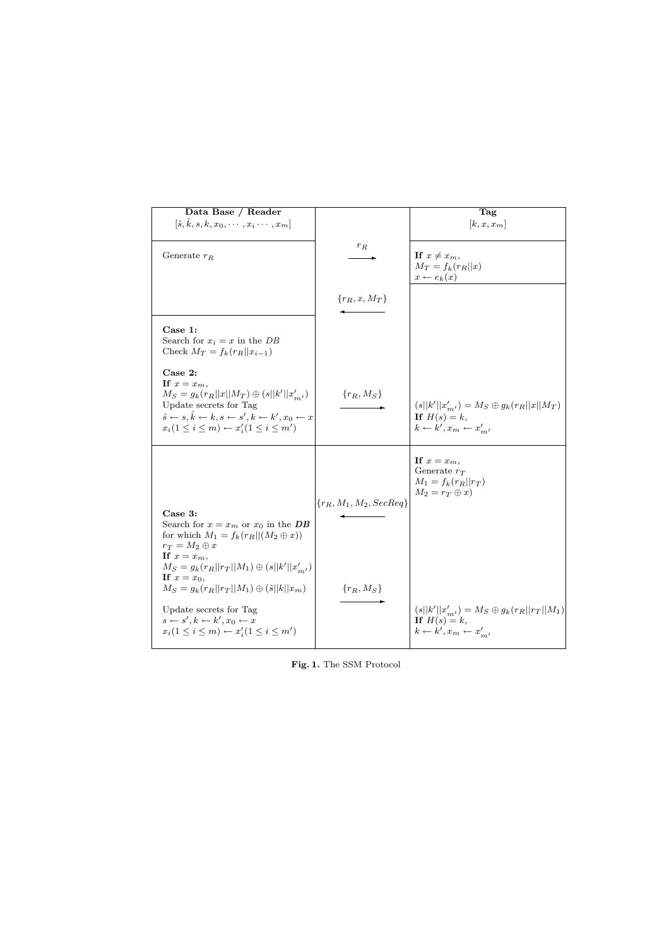| Data Base / Reader<br>$[\hat{s}, \hat{k}, s, k, x_0, \cdots, x_i \cdots, x_m]$                                                                                                                                                                                        |                           | Tag<br>$[k, x, x_m]$                                                                                          |
|-----------------------------------------------------------------------------------------------------------------------------------------------------------------------------------------------------------------------------------------------------------------------|---------------------------|---------------------------------------------------------------------------------------------------------------|
|                                                                                                                                                                                                                                                                       |                           |                                                                                                               |
| Generate $r_R$                                                                                                                                                                                                                                                        | $r_{\cal R}$              | If $x \neq x_m$ ,<br>$M_T = f_k(r_R  x)$<br>$x \leftarrow e_k(x)$                                             |
|                                                                                                                                                                                                                                                                       | $\{r_R, x, M_T\}$         |                                                                                                               |
| Case 1:<br>Search for $x_i = x$ in the DB<br>Check $M_T = f_k(r_R  x_{i-1})$                                                                                                                                                                                          |                           |                                                                                                               |
| Case 2:<br>If $x=x_m$ ,<br>$M_S = g_k(r_R  x  M_T) \oplus (s  k'  x'_{m'})$<br>Update secrets for Tag<br>$\hat{s} \leftarrow s, \hat{k} \leftarrow k, s \leftarrow s', k \leftarrow k', x_0 \leftarrow x$<br>$x_i(1 \leq i \leq m) \leftarrow x'_i(1 \leq i \leq m')$ | $\{r_R, M_S\}$            | $(s  k'  x'_{m'}) = M_S \oplus g_k(r_R  x  M_T)$<br>If $H(s) = k$ ,<br>$k \leftarrow k', x_m \leftarrow x'_m$ |
| Case 3:<br>Search for $x = x_m$ or $x_0$ in the DB                                                                                                                                                                                                                    | ${r_R, M_1, M_2, SecReg}$ | If $x = x_m$ ,<br>Generate $r_T$<br>$M_1 = f_k(r_R  r_T)$<br>$M_2 = r_T \oplus x$                             |
| for which $M_1 = f_k(r_R   (M_2 \oplus x))$<br>$r_T = M_2 \oplus x$<br>If $x=x_m$ ,<br>$M_S = g_k(r_R  r_T  M_1) \oplus (s  k'  x'_{m'})$<br>If $x=x_0$ ,<br>$M_S = g_k(r_R  r_T  M_1) \oplus (\hat{s}  k  x_m)$<br>Update secrets for Tag                            | ${r_R, M_S}$              | $(s  k'  x'_{m'}) = M_S \oplus g_k(r_R  r_T  M_1)$                                                            |
| $s \leftarrow s', k \leftarrow k', x_0 \leftarrow x$<br>$x_i(1 \leq i \leq m) \leftarrow x'_i(1 \leq i \leq m')$                                                                                                                                                      |                           | If $H(s) = k$ ,<br>$k \leftarrow k', x_m \leftarrow x'_m$                                                     |

Fig. 1. The SSM Protocol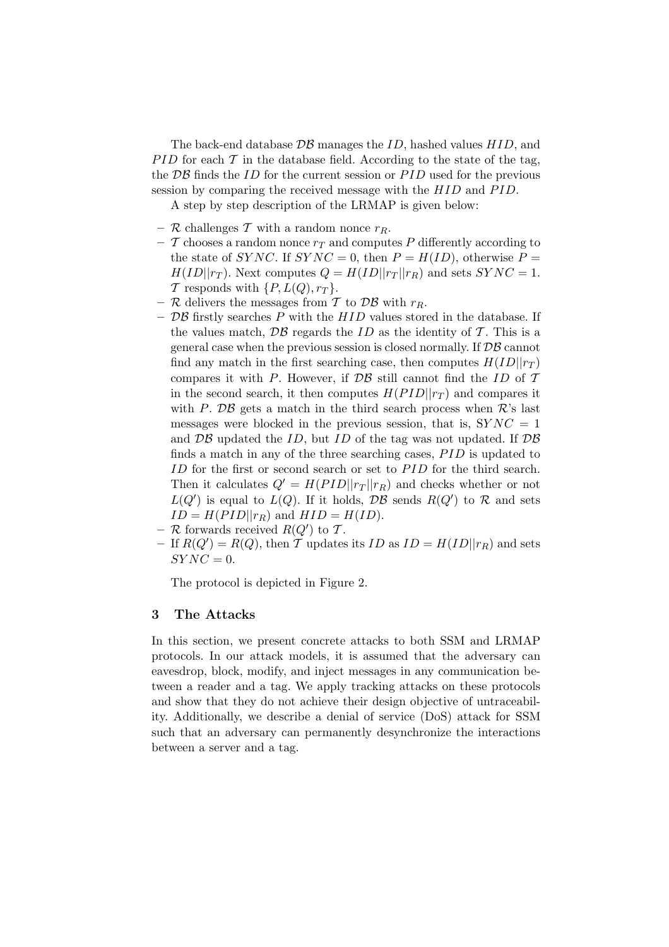The back-end database  $\mathcal{DB}$  manages the ID, hashed values  $HID$ , and PID for each  $\mathcal T$  in the database field. According to the state of the tag, the  $\overline{DB}$  finds the ID for the current session or  $\overline{PID}$  used for the previous session by comparing the received message with the  $HID$  and  $PID$ .

A step by step description of the LRMAP is given below:

- R challenges T with a random nonce  $r_R$ .
- $\mathcal T$  chooses a random nonce  $r_T$  and computes P differently according to the state of SYNC. If SYNC = 0, then  $P = H(ID)$ , otherwise  $P =$  $H(ID||r_T)$ . Next computes  $Q = H(ID||r_T||r_R)$  and sets  $SYNC = 1$ . T responds with  $\{P, L(Q), r_T\}.$
- R delivers the messages from T to DB with  $r_R$ .
- $\mathcal{DB}$  firstly searches P with the HID values stored in the database. If the values match,  $\mathcal{DB}$  regards the ID as the identity of T. This is a general case when the previous session is closed normally. If  $\mathcal{DB}$  cannot find any match in the first searching case, then computes  $H(ID||r_T)$ compares it with P. However, if  $\mathcal{DB}$  still cannot find the ID of T in the second search, it then computes  $H(PID||r_T)$  and compares it with P.  $\overline{DB}$  gets a match in the third search process when  $\mathcal{R}$ 's last messages were blocked in the previous session, that is,  $SYNC = 1$ and  $\overline{DB}$  updated the ID, but ID of the tag was not updated. If  $\overline{DB}$ finds a match in any of the three searching cases,  $PID$  is updated to ID for the first or second search or set to PID for the third search. Then it calculates  $Q' = H(PID||r_T||r_R)$  and checks whether or not  $L(Q')$  is equal to  $L(Q)$ . If it holds,  $\mathcal{DB}$  sends  $R(Q')$  to  $\mathcal R$  and sets  $ID = H(PID||r_R)$  and  $HID = H(ID).$
- $-$  R forwards received  $R(Q')$  to T.
- If  $R(Q') = R(Q)$ , then T updates its ID as  $ID = H(ID||r_R)$  and sets  $SYNC = 0.$

The protocol is depicted in Figure 2.

# 3 The Attacks

In this section, we present concrete attacks to both SSM and LRMAP protocols. In our attack models, it is assumed that the adversary can eavesdrop, block, modify, and inject messages in any communication between a reader and a tag. We apply tracking attacks on these protocols and show that they do not achieve their design objective of untraceability. Additionally, we describe a denial of service (DoS) attack for SSM such that an adversary can permanently desynchronize the interactions between a server and a tag.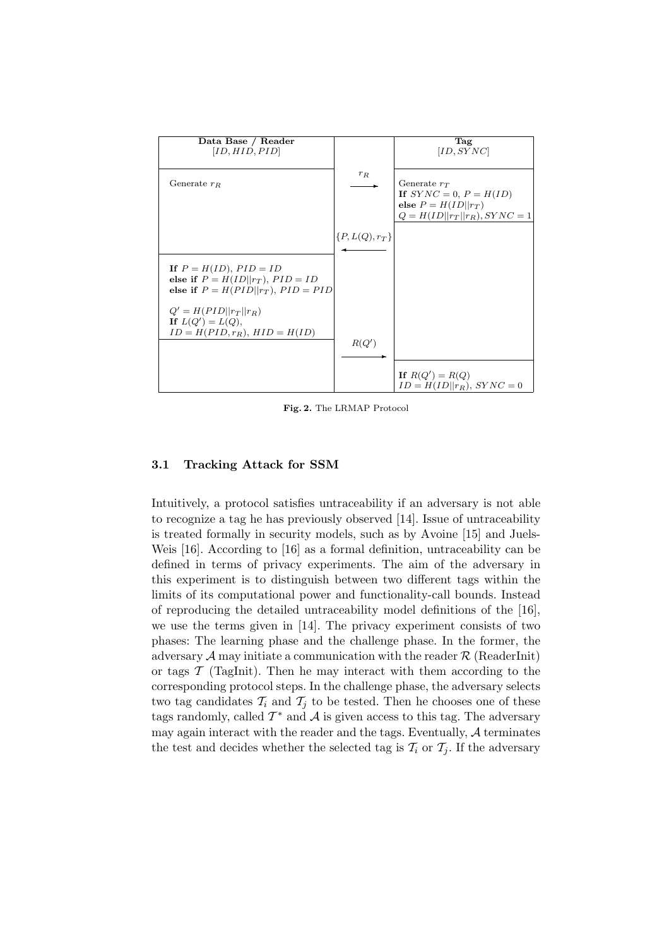

Fig. 2. The LRMAP Protocol

#### 3.1 Tracking Attack for SSM

Intuitively, a protocol satisfies untraceability if an adversary is not able to recognize a tag he has previously observed [14]. Issue of untraceability is treated formally in security models, such as by Avoine [15] and Juels-Weis [16]. According to [16] as a formal definition, untraceability can be defined in terms of privacy experiments. The aim of the adversary in this experiment is to distinguish between two different tags within the limits of its computational power and functionality-call bounds. Instead of reproducing the detailed untraceability model definitions of the [16], we use the terms given in [14]. The privacy experiment consists of two phases: The learning phase and the challenge phase. In the former, the adversary  $A$  may initiate a communication with the reader  $R$  (ReaderInit) or tags  $\mathcal T$  (TagInit). Then he may interact with them according to the corresponding protocol steps. In the challenge phase, the adversary selects two tag candidates  $\mathcal{T}_i$  and  $\mathcal{T}_j$  to be tested. Then he chooses one of these tags randomly, called  $\mathcal{T}^*$  and  $\mathcal{A}$  is given access to this tag. The adversary may again interact with the reader and the tags. Eventually,  $A$  terminates the test and decides whether the selected tag is  $\mathcal{T}_i$  or  $\mathcal{T}_j$ . If the adversary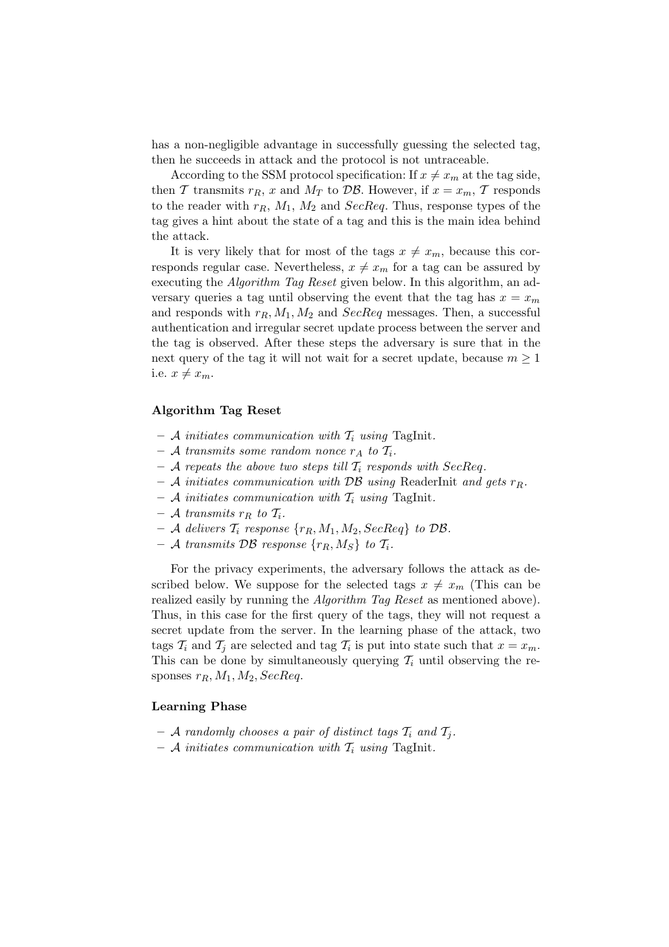has a non-negligible advantage in successfully guessing the selected tag, then he succeeds in attack and the protocol is not untraceable.

According to the SSM protocol specification: If  $x \neq x_m$  at the tag side, then T transmits  $r_R$ , x and  $M_T$  to DB. However, if  $x = x_m$ , T responds to the reader with  $r_R$ ,  $M_1$ ,  $M_2$  and SecReq. Thus, response types of the tag gives a hint about the state of a tag and this is the main idea behind the attack.

It is very likely that for most of the tags  $x \neq x_m$ , because this corresponds regular case. Nevertheless,  $x \neq x_m$  for a tag can be assured by executing the *Algorithm Tag Reset* given below. In this algorithm, an adversary queries a tag until observing the event that the tag has  $x = x_m$ and responds with  $r_R$ ,  $M_1$ ,  $M_2$  and  $SecReq$  messages. Then, a successful authentication and irregular secret update process between the server and the tag is observed. After these steps the adversary is sure that in the next query of the tag it will not wait for a secret update, because  $m \geq 1$ i.e.  $x \neq x_m$ .

#### Algorithm Tag Reset

- A initiates communication with  $T_i$  using TagInit.
- A transmits some random nonce  $r_A$  to  $\mathcal{T}_i$ .
- A repeats the above two steps till  $\mathcal{T}_i$  responds with SecReq.
- A initiates communication with  $\mathcal{DB}$  using ReaderInit and gets  $r_R$ .
- A initiates communication with  $\mathcal{T}_i$  using TagInit.
- A transmits  $r_R$  to  $\mathcal{T}_i$ .
- $-$  A delivers  $\mathcal{T}_i$  response  $\{r_R, M_1, M_2, SecReg\}$  to DB.
- A transmits DB response  $\{r_R, M_S\}$  to  $\mathcal{T}_i$ .

For the privacy experiments, the adversary follows the attack as described below. We suppose for the selected tags  $x \neq x_m$  (This can be realized easily by running the *Algorithm Tag Reset* as mentioned above). Thus, in this case for the first query of the tags, they will not request a secret update from the server. In the learning phase of the attack, two tags  $\mathcal{T}_i$  and  $\mathcal{T}_j$  are selected and tag  $\mathcal{T}_i$  is put into state such that  $x = x_m$ . This can be done by simultaneously querying  $\mathcal{T}_i$  until observing the responses  $r_R$ ,  $M_1$ ,  $M_2$ ,  $SecReq$ .

# Learning Phase

- A randomly chooses a pair of distinct tags  $\mathcal{T}_i$  and  $\mathcal{T}_j$ .
- A initiates communication with  $T_i$  using TagInit.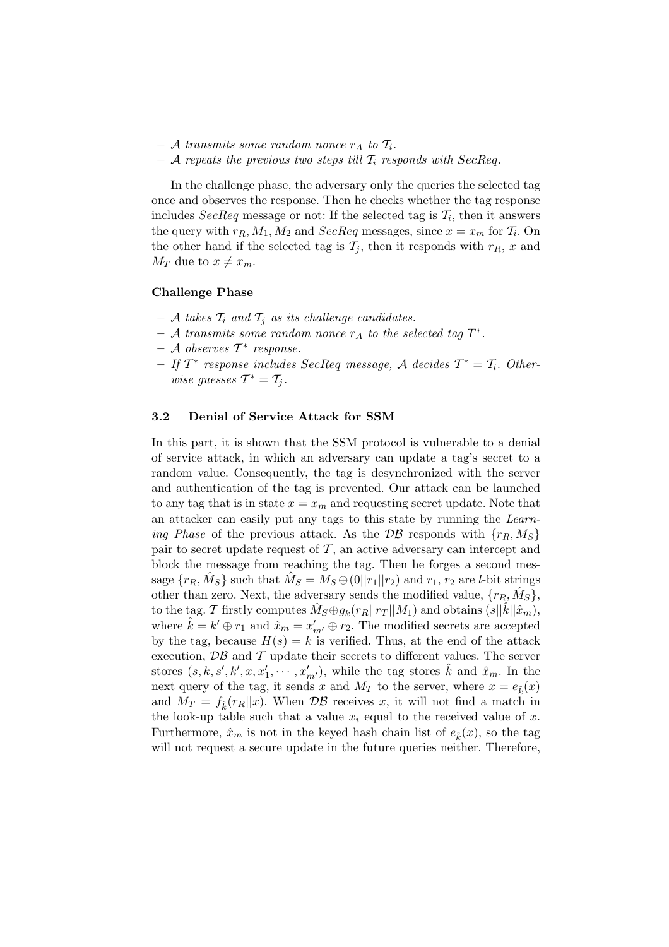- A transmits some random nonce  $r_A$  to  $\mathcal{T}_i$ .
- A repeats the previous two steps till  $\mathcal{T}_i$  responds with SecReq.

In the challenge phase, the adversary only the queries the selected tag once and observes the response. Then he checks whether the tag response includes  $SecReq$  message or not: If the selected tag is  $\mathcal{T}_i$ , then it answers the query with  $r_R$ ,  $M_1$ ,  $M_2$  and  $SecReq$  messages, since  $x = x_m$  for  $\mathcal{T}_i$ . On the other hand if the selected tag is  $\mathcal{T}_i$ , then it responds with  $r_R$ , x and  $M_T$  due to  $x \neq x_m$ .

## Challenge Phase

- A takes  $T_i$  and  $T_j$  as its challenge candidates.
- $-$  A transmits some random nonce  $r_A$  to the selected tag  $T^*$ .
- $-$  A observes  $\mathcal{T}^*$  response.
- $-If T^*$  response includes SecReq message, A decides  $T^* = T_i$ . Otherwise guesses  $T^* = T_j$ .

#### 3.2 Denial of Service Attack for SSM

In this part, it is shown that the SSM protocol is vulnerable to a denial of service attack, in which an adversary can update a tag's secret to a random value. Consequently, the tag is desynchronized with the server and authentication of the tag is prevented. Our attack can be launched to any tag that is in state  $x = x_m$  and requesting secret update. Note that an attacker can easily put any tags to this state by running the Learning Phase of the previous attack. As the DB responds with  $\{r_R, M_S\}$ pair to secret update request of  $\mathcal T$ , an active adversary can intercept and block the message from reaching the tag. Then he forges a second message  $\{r_R, \hat{M}_S\}$  such that  $\hat{M}_S = M_S \oplus (0||r_1||r_2)$  and  $r_1, r_2$  are *l*-bit strings other than zero. Next, the adversary sends the modified value,  $\{r_R, \hat{M}_S\}$ , to the tag. T firstly computes  $\hat{M}_S \oplus g_k(r_R||r_T||M_1)$  and obtains  $(s||\hat{k}||\hat{x}_m)$ , where  $\hat{k} = k' \oplus r_1$  and  $\hat{x}_m = x'_{m'} \oplus r_2$ . The modified secrets are accepted by the tag, because  $H(s) = k$  is verified. Thus, at the end of the attack execution,  $\mathcal{DB}$  and  $\mathcal T$  update their secrets to different values. The server stores  $(s, k, s', k', x, x'_1, \dots, x'_{m'})$ , while the tag stores  $\hat{k}$  and  $\hat{x}_m$ . In the next query of the tag, it sends x and  $M_T$  to the server, where  $x = e_{\tilde{k}}(x)$ and  $M_T = f_{\hat{\mu}}(r_R||x)$ . When  $\mathcal{DB}$  receives x, it will not find a match in the look-up table such that a value  $x_i$  equal to the received value of x. Furthermore,  $\hat{x}_m$  is not in the keyed hash chain list of  $e_k(x)$ , so the tag will not request a secure update in the future queries neither. Therefore,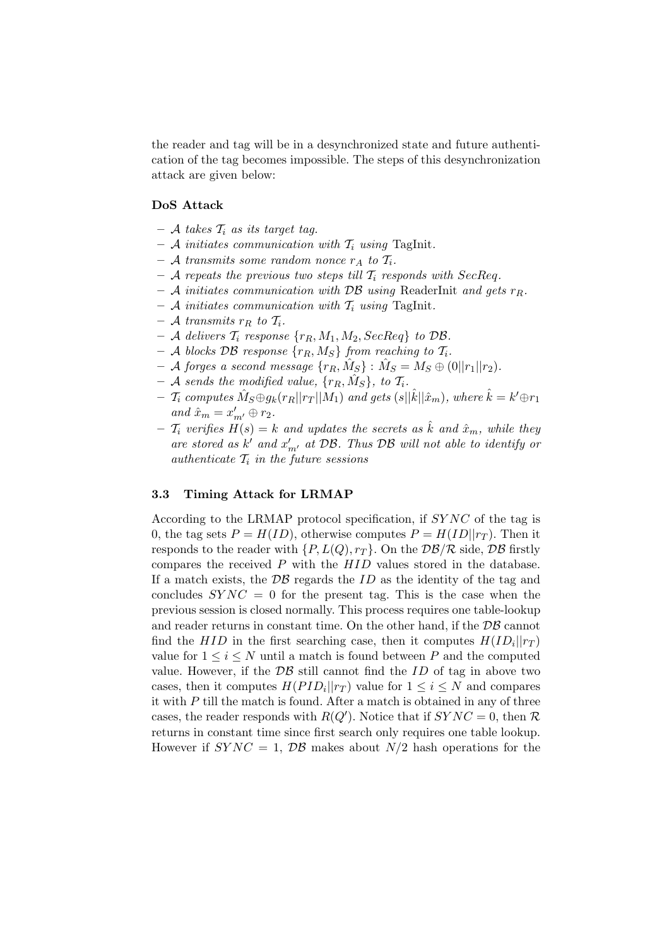the reader and tag will be in a desynchronized state and future authentication of the tag becomes impossible. The steps of this desynchronization attack are given below:

# DoS Attack

- $-$  A takes  $\mathcal{T}_i$  as its target tag.
- A initiates communication with  $T_i$  using TagInit.
- A transmits some random nonce  $r_A$  to  $\mathcal{T}_i$ .
- A repeats the previous two steps till  $\mathcal{T}_i$  responds with SecReq.
- A initiates communication with DB using ReaderInit and gets  $r_R$ .
- A initiates communication with  $\mathcal{T}_i$  using TagInit.
- $-$  A transmits  $r_R$  to  $\mathcal{T}_i$ .
- A delivers  $\mathcal{T}_i$  response  $\{r_R, M_1, M_2, SecReg\}$  to DB.
- A blocks DB response  $\{r_R, M_S\}$  from reaching to  $\mathcal{T}_i$ .
- $-$  A forges a second message  $\{r_R, \hat{M}_S\}$  :  $\hat{M}_S = M_S \oplus (0||r_1||r_2)$ .
- $-$  A sends the modified value,  $\{r_R, \hat{M}_S\}$ , to  $\mathcal{T}_i$ .
- $\; \mathcal{T}_i \; computes \; \hat{M}_S \oplus g_k(r_R||r_T||M_1) \; and \; gets \; (s||\hat{k}||\hat{x}_m), \; where \; \hat{k} = k' \oplus r_1$ and  $\hat{x}_m = x'_{m'} \oplus r_2$ .
- $\mathcal{T}_i$  verifies  $H(s) = k$  and updates the secrets as  $\hat{k}$  and  $\hat{x}_m$ , while they are stored as  $k'$  and  $x'_{m'}$  at  $\mathcal{DB}$ . Thus  $\mathcal{DB}$  will not able to identify or authenticate  $\mathcal{T}_i$  in the future sessions

#### 3.3 Timing Attack for LRMAP

According to the LRMAP protocol specification, if SY NC of the tag is 0, the tag sets  $P = H(ID)$ , otherwise computes  $P = H(ID||r_T)$ . Then it responds to the reader with  $\{P, L(Q), r_T\}$ . On the  $\mathcal{DB}/\mathcal{R}$  side,  $\mathcal{DB}$  firstly compares the received  $P$  with the  $HID$  values stored in the database. If a match exists, the  $\mathcal{DB}$  regards the ID as the identity of the tag and concludes  $SYNC = 0$  for the present tag. This is the case when the previous session is closed normally. This process requires one table-lookup and reader returns in constant time. On the other hand, if the  $\mathcal{DB}$  cannot find the  $HID$  in the first searching case, then it computes  $H(ID_i||r_T)$ value for  $1 \leq i \leq N$  until a match is found between P and the computed value. However, if the  $\mathcal{DB}$  still cannot find the ID of tag in above two cases, then it computes  $H(PID_i||rr)$  value for  $1 \leq i \leq N$  and compares it with  $P$  till the match is found. After a match is obtained in any of three cases, the reader responds with  $R(Q')$ . Notice that if  $SYNC = 0$ , then R returns in constant time since first search only requires one table lookup. However if  $SYNC = 1$ ,  $DB$  makes about  $N/2$  hash operations for the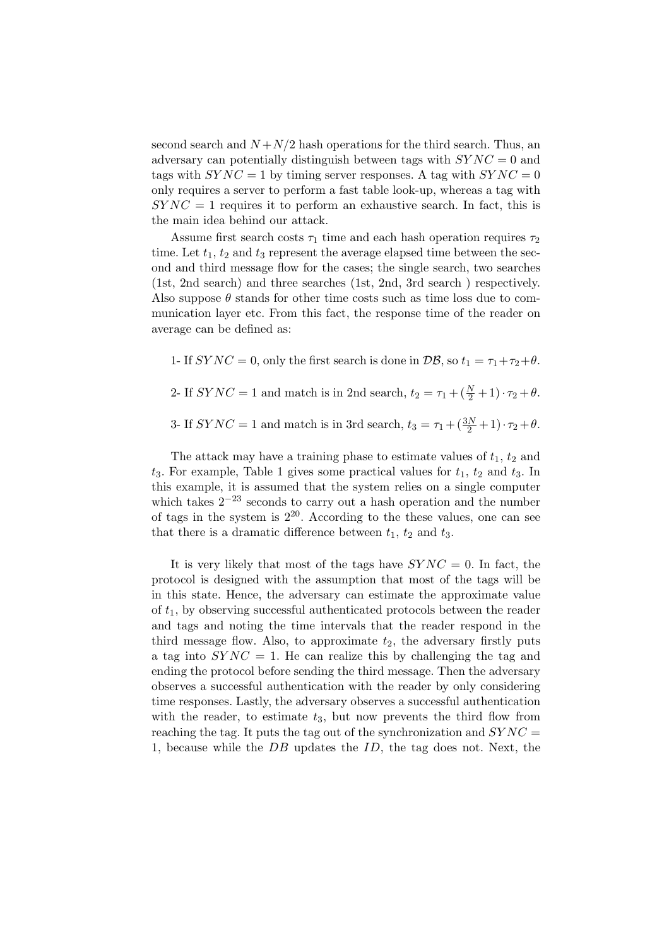second search and  $N + N/2$  hash operations for the third search. Thus, an adversary can potentially distinguish between tags with  $SYNC = 0$  and tags with  $SYNC = 1$  by timing server responses. A tag with  $SYNC = 0$ only requires a server to perform a fast table look-up, whereas a tag with  $SYNC = 1$  requires it to perform an exhaustive search. In fact, this is the main idea behind our attack.

Assume first search costs  $\tau_1$  time and each hash operation requires  $\tau_2$ time. Let  $t_1, t_2$  and  $t_3$  represent the average elapsed time between the second and third message flow for the cases; the single search, two searches (1st, 2nd search) and three searches (1st, 2nd, 3rd search ) respectively. Also suppose  $\theta$  stands for other time costs such as time loss due to communication layer etc. From this fact, the response time of the reader on average can be defined as:

1- If  $SYNC = 0$ , only the first search is done in  $\mathcal{DB}$ , so  $t_1 = \tau_1 + \tau_2 + \theta$ .

2- If  $SYNC = 1$  and match is in 2nd search,  $t_2 = \tau_1 + (\frac{N}{2} + 1) \cdot \tau_2 + \theta$ .

3- If  $SYNC = 1$  and match is in 3rd search,  $t_3 = \tau_1 + (\frac{3N}{2} + 1) \cdot \tau_2 + \theta$ .

The attack may have a training phase to estimate values of  $t_1$ ,  $t_2$  and  $t_3$ . For example, Table 1 gives some practical values for  $t_1$ ,  $t_2$  and  $t_3$ . In this example, it is assumed that the system relies on a single computer which takes  $2^{-23}$  seconds to carry out a hash operation and the number of tags in the system is  $2^{20}$ . According to the these values, one can see that there is a dramatic difference between  $t_1$ ,  $t_2$  and  $t_3$ .

It is very likely that most of the tags have  $SYNC = 0$ . In fact, the protocol is designed with the assumption that most of the tags will be in this state. Hence, the adversary can estimate the approximate value of  $t_1$ , by observing successful authenticated protocols between the reader and tags and noting the time intervals that the reader respond in the third message flow. Also, to approximate  $t_2$ , the adversary firstly puts a tag into  $SYNC = 1$ . He can realize this by challenging the tag and ending the protocol before sending the third message. Then the adversary observes a successful authentication with the reader by only considering time responses. Lastly, the adversary observes a successful authentication with the reader, to estimate  $t_3$ , but now prevents the third flow from reaching the tag. It puts the tag out of the synchronization and  $SYNC =$ 1, because while the DB updates the ID, the tag does not. Next, the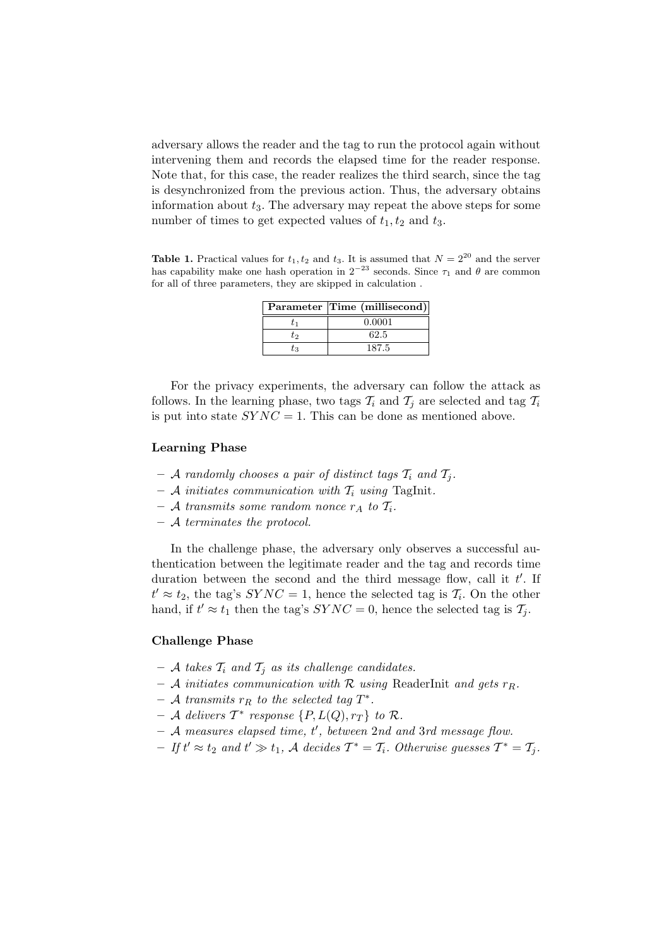adversary allows the reader and the tag to run the protocol again without intervening them and records the elapsed time for the reader response. Note that, for this case, the reader realizes the third search, since the tag is desynchronized from the previous action. Thus, the adversary obtains information about  $t_3$ . The adversary may repeat the above steps for some number of times to get expected values of  $t_1, t_2$  and  $t_3$ .

**Table 1.** Practical values for  $t_1, t_2$  and  $t_3$ . It is assumed that  $N = 2^{20}$  and the server has capability make one hash operation in  $2^{-23}$  seconds. Since  $\tau_1$  and  $\theta$  are common for all of three parameters, they are skipped in calculation .

|     | Parameter Time (millisecond) |
|-----|------------------------------|
|     | 0.0001                       |
| もっ  | 62.5                         |
| T3. | 187.5                        |

For the privacy experiments, the adversary can follow the attack as follows. In the learning phase, two tags  $\mathcal{T}_i$  and  $\mathcal{T}_j$  are selected and tag  $\mathcal{T}_i$ is put into state  $SYNC = 1$ . This can be done as mentioned above.

#### Learning Phase

- A randomly chooses a pair of distinct tags  $\mathcal{T}_i$  and  $\mathcal{T}_j$ .
- $A$  initiates communication with  $T_i$  using TagInit.
- A transmits some random nonce  $r_A$  to  $\mathcal{T}_i$ .
- A terminates the protocol.

In the challenge phase, the adversary only observes a successful authentication between the legitimate reader and the tag and records time duration between the second and the third message flow, call it  $t'$ . If  $t' \approx t_2$ , the tag's  $SYNC = 1$ , hence the selected tag is  $\mathcal{T}_i$ . On the other hand, if  $t' \approx t_1$  then the tag's  $SYNC = 0$ , hence the selected tag is  $\mathcal{T}_j$ .

#### Challenge Phase

- A takes  $T_i$  and  $T_j$  as its challenge candidates.
- A initiates communication with  $\mathcal R$  using ReaderInit and gets  $r_R$ .
- $-$  A transmits  $r_R$  to the selected tag  $T^*$ .
- $-$  A delivers  $\mathcal{T}^*$  response  $\{P, L(Q), r_T\}$  to  $\mathcal{R}$ .
- $-$  A measures elapsed time,  $t'$ , between 2nd and 3rd message flow.
- $-Ift' \approx t_2$  and  $t' \gg t_1$ , A decides  $T^* = T_i$ . Otherwise guesses  $T^* = T_j$ .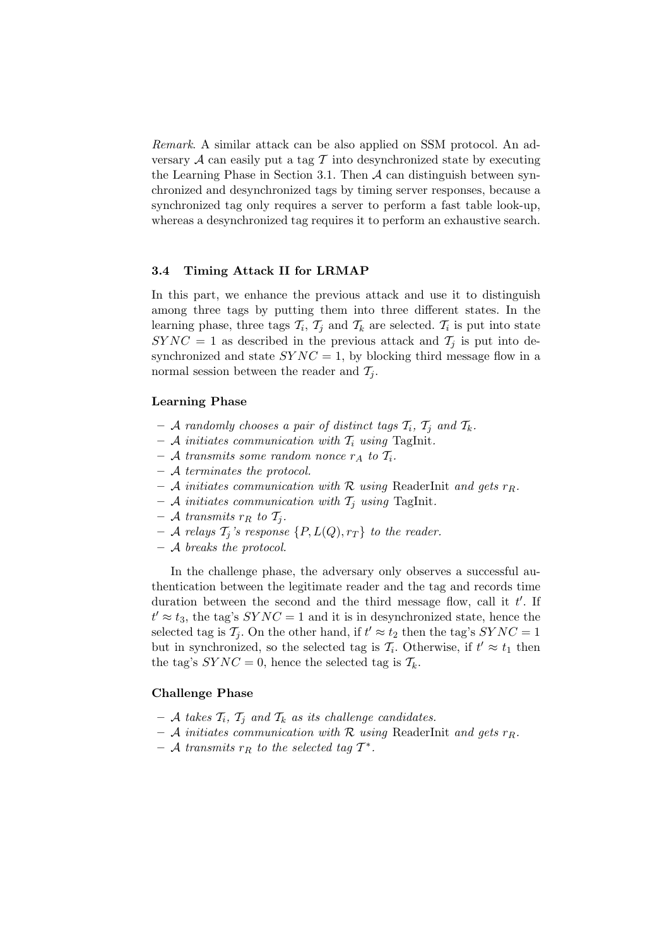Remark. A similar attack can be also applied on SSM protocol. An adversary  $\mathcal A$  can easily put a tag  $\mathcal T$  into desynchronized state by executing the Learning Phase in Section 3.1. Then  $A$  can distinguish between synchronized and desynchronized tags by timing server responses, because a synchronized tag only requires a server to perform a fast table look-up, whereas a desynchronized tag requires it to perform an exhaustive search.

#### 3.4 Timing Attack II for LRMAP

In this part, we enhance the previous attack and use it to distinguish among three tags by putting them into three different states. In the learning phase, three tags  $\mathcal{T}_i$ ,  $\mathcal{T}_j$  and  $\mathcal{T}_k$  are selected.  $\mathcal{T}_i$  is put into state  $SYNC = 1$  as described in the previous attack and  $\mathcal{T}_i$  is put into desynchronized and state  $SYNC = 1$ , by blocking third message flow in a normal session between the reader and  $\mathcal{T}_i$ .

#### Learning Phase

- A randomly chooses a pair of distinct tags  $T_i$ ,  $T_j$  and  $T_k$ .
- A initiates communication with  $T_i$  using TagInit.
- A transmits some random nonce  $r_A$  to  $\mathcal{T}_i$ .
- A terminates the protocol.
- A initiates communication with R using ReaderInit and gets  $r_R$ .
- A initiates communication with  $T_j$  using TagInit.
- A transmits  $r_R$  to  $\mathcal{T}_j$ .
- A relays  $\mathcal{T}_j$ 's response  $\{P, L(Q), r_T\}$  to the reader.
- A breaks the protocol.

In the challenge phase, the adversary only observes a successful authentication between the legitimate reader and the tag and records time duration between the second and the third message flow, call it  $t'$ . If  $t' \approx t_3$ , the tag's  $SYNC = 1$  and it is in desynchronized state, hence the selected tag is  $\mathcal{T}_j$ . On the other hand, if  $t' \approx t_2$  then the tag's  $SYNC = 1$ but in synchronized, so the selected tag is  $\mathcal{T}_i$ . Otherwise, if  $t' \approx t_1$  then the tag's  $SYNC = 0$ , hence the selected tag is  $\mathcal{T}_k$ .

# Challenge Phase

- A takes  $T_i$ ,  $T_j$  and  $T_k$  as its challenge candidates.
- A initiates communication with R using ReaderInit and gets  $r_R$ .
- $-$  A transmits  $r_R$  to the selected tag  $T^*$ .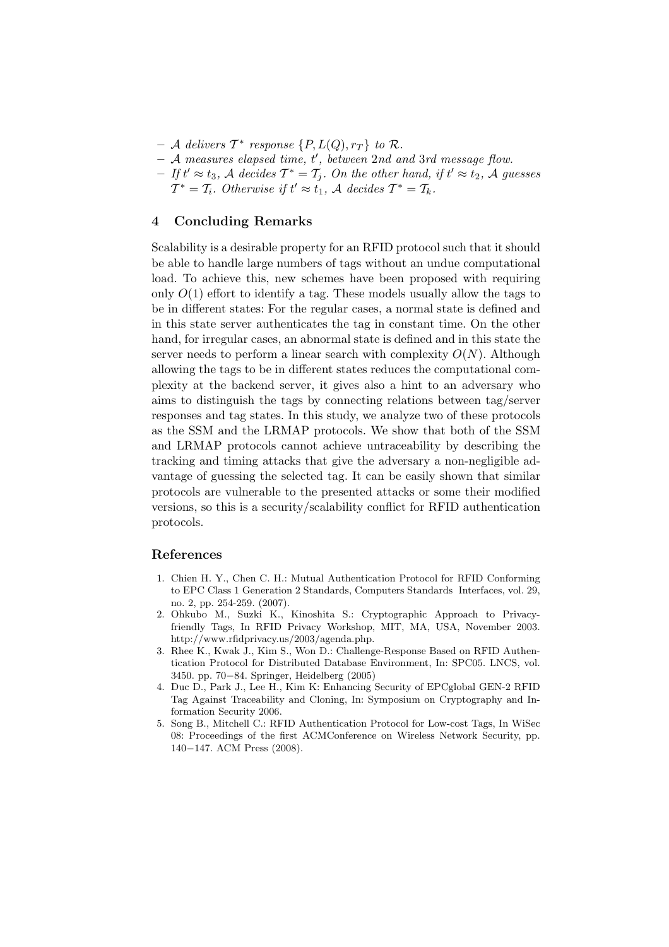- $-$  A delivers  $T^*$  response  $\{P, L(Q), r_T\}$  to R.
- $-$  A measures elapsed time, t', between 2nd and 3rd message flow.
- $-Ift' \approx t_3$ , A decides  $T^* = T_j$ . On the other hand, if  $t' \approx t_2$ , A guesses  $T^* = T_i$ . Otherwise if  $t' \approx t_1$ , A decides  $T^* = T_k$ .

# 4 Concluding Remarks

Scalability is a desirable property for an RFID protocol such that it should be able to handle large numbers of tags without an undue computational load. To achieve this, new schemes have been proposed with requiring only  $O(1)$  effort to identify a tag. These models usually allow the tags to be in different states: For the regular cases, a normal state is defined and in this state server authenticates the tag in constant time. On the other hand, for irregular cases, an abnormal state is defined and in this state the server needs to perform a linear search with complexity  $O(N)$ . Although allowing the tags to be in different states reduces the computational complexity at the backend server, it gives also a hint to an adversary who aims to distinguish the tags by connecting relations between tag/server responses and tag states. In this study, we analyze two of these protocols as the SSM and the LRMAP protocols. We show that both of the SSM and LRMAP protocols cannot achieve untraceability by describing the tracking and timing attacks that give the adversary a non-negligible advantage of guessing the selected tag. It can be easily shown that similar protocols are vulnerable to the presented attacks or some their modified versions, so this is a security/scalability conflict for RFID authentication protocols.

#### References

- 1. Chien H. Y., Chen C. H.: Mutual Authentication Protocol for RFID Conforming to EPC Class 1 Generation 2 Standards, Computers Standards Interfaces, vol. 29, no. 2, pp. 254-259. (2007).
- 2. Ohkubo M., Suzki K., Kinoshita S.: Cryptographic Approach to Privacyfriendly Tags, In RFID Privacy Workshop, MIT, MA, USA, November 2003. http://www.rfidprivacy.us/2003/agenda.php.
- 3. Rhee K., Kwak J., Kim S., Won D.: Challenge-Response Based on RFID Authentication Protocol for Distributed Database Environment, In: SPC05. LNCS, vol. 3450. pp. 70−84. Springer, Heidelberg (2005)
- 4. Duc D., Park J., Lee H., Kim K: Enhancing Security of EPCglobal GEN-2 RFID Tag Against Traceability and Cloning, In: Symposium on Cryptography and Information Security 2006.
- 5. Song B., Mitchell C.: RFID Authentication Protocol for Low-cost Tags, In WiSec 08: Proceedings of the first ACMConference on Wireless Network Security, pp. 140−147. ACM Press (2008).